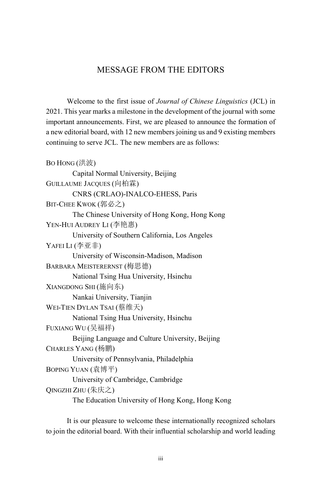## MESSAGE FROM THE EDITORS

Welcome to the first issue of *Journal of Chinese Linguistics* (JCL) in 2021. This year marks a milestone in the development of the journal with some important announcements. First, we are pleased to announce the formation of a new editorial board, with 12 new members joining us and 9 existing members continuing to serve JCL. The new members are as follows:

```
BO HONG (洪波)
       Capital Normal University, Beijing 
GUILLAUME JACQUES (向柏霖)
       CNRS (CRLAO)-INALCO-EHESS, Paris 
BIT-CHEE KWOK (郭必之)
       The Chinese University of Hong Kong, Hong Kong 
YEN-HUI AUDREY LI (李艳惠)
       University of Southern California, Los Angeles 
YAFEI LI (李亚非)
       University of Wisconsin-Madison, Madison 
BARBARA MEISTERERNST (梅思德)
       National Tsing Hua University, Hsinchu 
XIANGDONG SHI (施向东)
       Nankai University, Tianjin 
WEI-TIEN DYLAN TSAI (蔡维天)
       National Tsing Hua University, Hsinchu 
FUXIANG WU (吴福祥)
       Beijing Language and Culture University, Beijing 
CHARLES YANG (杨鹏)
       University of Pennsylvania, Philadelphia 
BOPING YUAN (袁博平)
       University of Cambridge, Cambridge 
OINGZHI ZHU (朱庆之)
       The Education University of Hong Kong, Hong Kong
```
It is our pleasure to welcome these internationally recognized scholars to join the editorial board. With their influential scholarship and world leading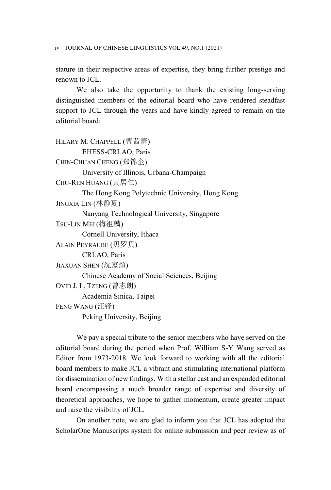iv JOURNAL OF CHINESE LINGUISTICS VOL.49, NO.1 (2021)

stature in their respective areas of expertise, they bring further prestige and renown to JCL.

We also take the opportunity to thank the existing long-serving distinguished members of the editorial board who have rendered steadfast support to JCL through the years and have kindly agreed to remain on the editorial board:

```
HILARY M. CHAPPELL (曹茜蕾)
       EHESS-CRLAO, Paris 
CHIN-CHUAN CHENG (郑锦全)
       University of Illinois, Urbana-Champaign 
CHU-REN HUANG (黄居仁)
       The Hong Kong Polytechnic University, Hong Kong 
JINGXIA LIN (林静夏)
       Nanyang Technological University, Singapore 
TSU-LIN MEI (梅祖麟)
       Cornell University, Ithaca 
ALAIN PEYRAUBE (贝罗贝)
       CRLAO, Paris 
JIAXUAN SHEN (沈家煊)
       Chinese Academy of Social Sciences, Beijing 
OVID J. L. TZENG (曾志朗)
       Academia Sinica, Taipei 
FENG WANG (汪锋)
       Peking University, Beijing
```
We pay a special tribute to the senior members who have served on the editorial board during the period when Prof. William S-Y Wang served as Editor from 1973-2018. We look forward to working with all the editorial board members to make JCL a vibrant and stimulating international platform for dissemination of new findings. With a stellar cast and an expanded editorial board encompassing a much broader range of expertise and diversity of theoretical approaches, we hope to gather momentum, create greater impact and raise the visibility of JCL.

On another note, we are glad to inform you that JCL has adopted the ScholarOne Manuscripts system for online submission and peer review as of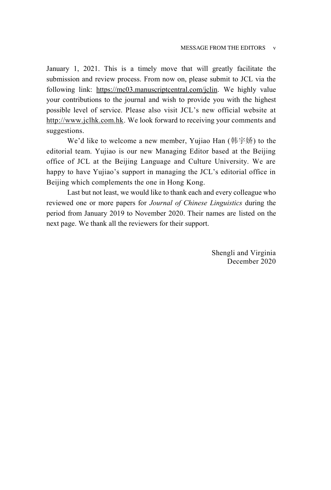January 1, 2021. This is a timely move that will greatly facilitate the submission and review process. From now on, please submit to JCL via the following link: https://mc03.manuscriptcentral.com/jclin. We highly value your contributions to the journal and wish to provide you with the highest possible level of service. Please also visit JCL's new official website at http://www.jclhk.com.hk. We look forward to receiving your comments and suggestions.

We'd like to welcome a new member, Yujiao Han  $(\&$   $\&$   $\&$  fo the editorial team. Yujiao is our new Managing Editor based at the Beijing office of JCL at the Beijing Language and Culture University. We are happy to have Yujiao's support in managing the JCL's editorial office in Beijing which complements the one in Hong Kong.

Last but not least, we would like to thank each and every colleague who reviewed one or more papers for *Journal of Chinese Linguistics* during the period from January 2019 to November 2020. Their names are listed on the next page. We thank all the reviewers for their support.

> Shengli and Virginia December 2020